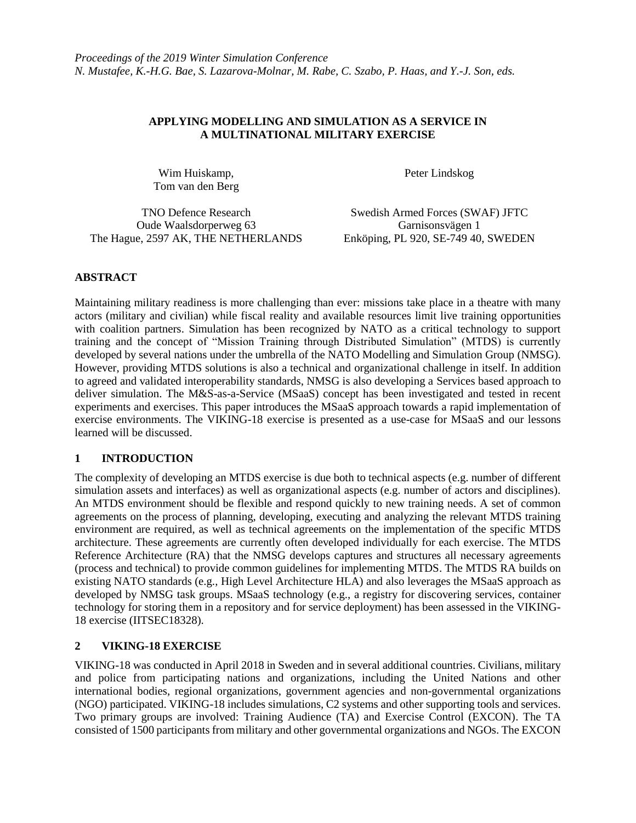### **APPLYING MODELLING AND SIMULATION AS A SERVICE IN A MULTINATIONAL MILITARY EXERCISE**

Wim Huiskamp, Tom van den Berg Peter Lindskog

Oude Waalsdorperweg 63 Garnisonsvägen 1 The Hague, 2597 AK, THE NETHERLANDS Enköping, PL 920, SE-749 40, SWEDEN

TNO Defence Research Swedish Armed Forces (SWAF) JFTC

# **ABSTRACT**

Maintaining military readiness is more challenging than ever: missions take place in a theatre with many actors (military and civilian) while fiscal reality and available resources limit live training opportunities with coalition partners. Simulation has been recognized by NATO as a critical technology to support training and the concept of "Mission Training through Distributed Simulation" (MTDS) is currently developed by several nations under the umbrella of the NATO Modelling and Simulation Group (NMSG). However, providing MTDS solutions is also a technical and organizational challenge in itself. In addition to agreed and validated interoperability standards, NMSG is also developing a Services based approach to deliver simulation. The M&S-as-a-Service (MSaaS) concept has been investigated and tested in recent experiments and exercises. This paper introduces the MSaaS approach towards a rapid implementation of exercise environments. The VIKING-18 exercise is presented as a use-case for MSaaS and our lessons learned will be discussed.

## **1 INTRODUCTION**

The complexity of developing an MTDS exercise is due both to technical aspects (e.g. number of different simulation assets and interfaces) as well as organizational aspects (e.g. number of actors and disciplines). An MTDS environment should be flexible and respond quickly to new training needs. A set of common agreements on the process of planning, developing, executing and analyzing the relevant MTDS training environment are required, as well as technical agreements on the implementation of the specific MTDS architecture. These agreements are currently often developed individually for each exercise. The MTDS Reference Architecture (RA) that the NMSG develops captures and structures all necessary agreements (process and technical) to provide common guidelines for implementing MTDS. The MTDS RA builds on existing NATO standards (e.g., High Level Architecture HLA) and also leverages the MSaaS approach as developed by NMSG task groups. MSaaS technology (e.g., a registry for discovering services, container technology for storing them in a repository and for service deployment) has been assessed in the VIKING-18 exercise (IITSEC18328).

# **2 VIKING-18 EXERCISE**

VIKING-18 was conducted in April 2018 in Sweden and in several additional countries. Civilians, military and police from participating nations and organizations, including the United Nations and other international bodies, regional organizations, government agencies and non-governmental organizations (NGO) participated. VIKING-18 includes simulations, C2 systems and other supporting tools and services. Two primary groups are involved: Training Audience (TA) and Exercise Control (EXCON). The TA consisted of 1500 participants from military and other governmental organizations and NGOs. The EXCON